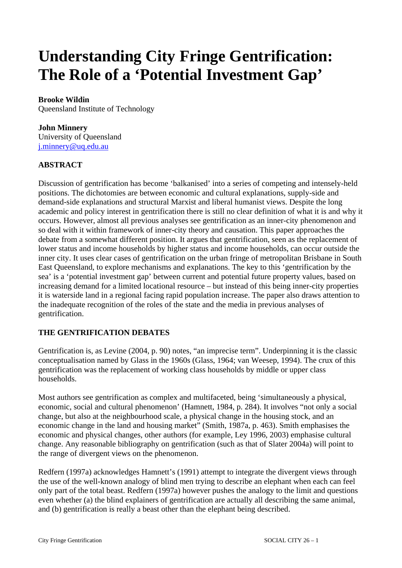# **Understanding City Fringe Gentrification: The Role of a 'Potential Investment Gap'**

# **Brooke Wildin**

Queensland Institute of Technology

#### **John Minnery**

University of Queensland [j.minnery@uq.edu.au](mailto:j.minnery@uq.edu.au)

# **ABSTRACT**

Discussion of gentrification has become 'balkanised' into a series of competing and intensely-held positions. The dichotomies are between economic and cultural explanations, supply-side and demand-side explanations and structural Marxist and liberal humanist views. Despite the long academic and policy interest in gentrification there is still no clear definition of what it is and why it occurs. However, almost all previous analyses see gentrification as an inner-city phenomenon and so deal with it within framework of inner-city theory and causation. This paper approaches the debate from a somewhat different position. It argues that gentrification, seen as the replacement of lower status and income households by higher status and income households, can occur outside the inner city. It uses clear cases of gentrification on the urban fringe of metropolitan Brisbane in South East Queensland, to explore mechanisms and explanations. The key to this 'gentrification by the sea' is a 'potential investment gap' between current and potential future property values, based on increasing demand for a limited locational resource – but instead of this being inner-city properties it is waterside land in a regional facing rapid population increase. The paper also draws attention to the inadequate recognition of the roles of the state and the media in previous analyses of gentrification.

# **THE GENTRIFICATION DEBATES**

Gentrification is, as Levine (2004, p. 90) notes, "an imprecise term". Underpinning it is the classic conceptualisation named by Glass in the 1960s (Glass, 1964; van Weesep, 1994). The crux of this gentrification was the replacement of working class households by middle or upper class households.

Most authors see gentrification as complex and multifaceted, being 'simultaneously a physical, economic, social and cultural phenomenon' (Hamnett, 1984, p. 284). It involves "not only a social change, but also at the neighbourhood scale, a physical change in the housing stock, and an economic change in the land and housing market" (Smith, 1987a, p. 463). Smith emphasises the economic and physical changes, other authors (for example, Ley 1996, 2003) emphasise cultural change. Any reasonable bibliography on gentrification (such as that of Slater 2004a) will point to the range of divergent views on the phenomenon.

Redfern (1997a) acknowledges Hamnett's (1991) attempt to integrate the divergent views through the use of the well-known analogy of blind men trying to describe an elephant when each can feel only part of the total beast. Redfern (1997a) however pushes the analogy to the limit and questions even whether (a) the blind explainers of gentrification are actually all describing the same animal, and (b) gentrification is really a beast other than the elephant being described.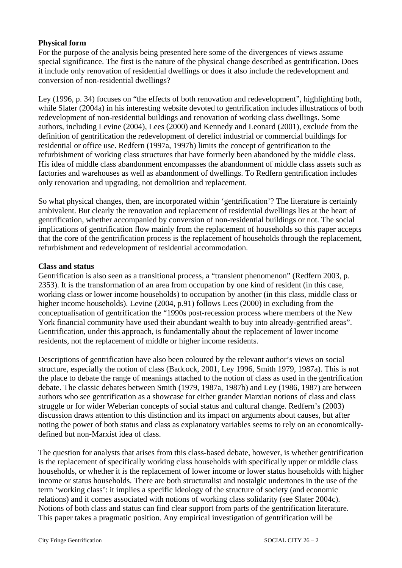#### **Physical form**

For the purpose of the analysis being presented here some of the divergences of views assume special significance. The first is the nature of the physical change described as gentrification. Does it include only renovation of residential dwellings or does it also include the redevelopment and conversion of non-residential dwellings?

Ley (1996, p. 34) focuses on "the effects of both renovation and redevelopment", highlighting both, while Slater (2004a) in his interesting website devoted to gentrification includes illustrations of both redevelopment of non-residential buildings and renovation of working class dwellings. Some authors, including Levine (2004), Lees (2000) and Kennedy and Leonard (2001), exclude from the definition of gentrification the redevelopment of derelict industrial or commercial buildings for residential or office use. Redfern (1997a, 1997b) limits the concept of gentrification to the refurbishment of working class structures that have formerly been abandoned by the middle class. His idea of middle class abandonment encompasses the abandonment of middle class assets such as factories and warehouses as well as abandonment of dwellings. To Redfern gentrification includes only renovation and upgrading, not demolition and replacement.

So what physical changes, then, are incorporated within 'gentrification'? The literature is certainly ambivalent. But clearly the renovation and replacement of residential dwellings lies at the heart of gentrification, whether accompanied by conversion of non-residential buildings or not. The social implications of gentrification flow mainly from the replacement of households so this paper accepts that the core of the gentrification process is the replacement of households through the replacement, refurbishment and redevelopment of residential accommodation.

#### **Class and status**

Gentrification is also seen as a transitional process, a "transient phenomenon" (Redfern 2003, p. 2353). It is the transformation of an area from occupation by one kind of resident (in this case, working class or lower income households) to occupation by another (in this class, middle class or higher income households). Levine (2004, p.91) follows Lees (2000) in excluding from the conceptualisation of gentrification the "1990s post-recession process where members of the New York financial community have used their abundant wealth to buy into already-gentrified areas". Gentrification, under this approach, is fundamentally about the replacement of lower income residents, not the replacement of middle or higher income residents.

Descriptions of gentrification have also been coloured by the relevant author's views on social structure, especially the notion of class (Badcock, 2001, Ley 1996, Smith 1979, 1987a). This is not the place to debate the range of meanings attached to the notion of class as used in the gentrification debate. The classic debates between Smith (1979, 1987a, 1987b) and Ley (1986, 1987) are between authors who see gentrification as a showcase for either grander Marxian notions of class and class struggle or for wider Weberian concepts of social status and cultural change. Redfern's (2003) discussion draws attention to this distinction and its impact on arguments about causes, but after noting the power of both status and class as explanatory variables seems to rely on an economicallydefined but non-Marxist idea of class.

The question for analysts that arises from this class-based debate, however, is whether gentrification is the replacement of specifically working class households with specifically upper or middle class households, or whether it is the replacement of lower income or lower status households with higher income or status households. There are both structuralist and nostalgic undertones in the use of the term 'working class': it implies a specific ideology of the structure of society (and economic relations) and it comes associated with notions of working class solidarity (see Slater 2004c). Notions of both class and status can find clear support from parts of the gentrification literature. This paper takes a pragmatic position. Any empirical investigation of gentrification will be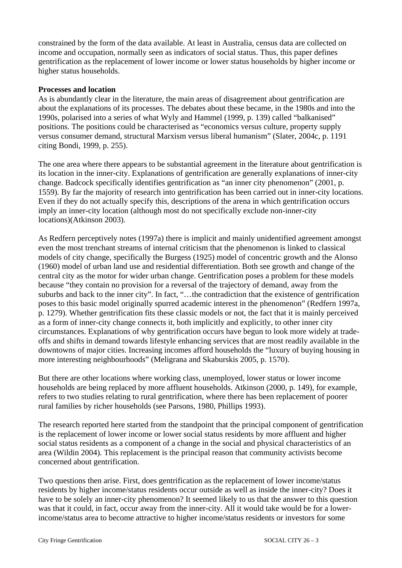constrained by the form of the data available. At least in Australia, census data are collected on income and occupation, normally seen as indicators of social status. Thus, this paper defines gentrification as the replacement of lower income or lower status households by higher income or higher status households.

#### **Processes and location**

As is abundantly clear in the literature, the main areas of disagreement about gentrification are about the explanations of its processes. The debates about these became, in the 1980s and into the 1990s, polarised into a series of what Wyly and Hammel (1999, p. 139) called "balkanised" positions. The positions could be characterised as "economics versus culture, property supply versus consumer demand, structural Marxism versus liberal humanism" (Slater, 2004c, p. 1191 citing Bondi, 1999, p. 255).

The one area where there appears to be substantial agreement in the literature about gentrification is its location in the inner-city. Explanations of gentrification are generally explanations of inner-city change. Badcock specifically identifies gentrification as "an inner city phenomenon" (2001, p. 1559). By far the majority of research into gentrification has been carried out in inner-city locations. Even if they do not actually specify this, descriptions of the arena in which gentrification occurs imply an inner-city location (although most do not specifically exclude non-inner-city locations)(Atkinson 2003).

As Redfern perceptively notes (1997a) there is implicit and mainly unidentified agreement amongst even the most trenchant streams of internal criticism that the phenomenon is linked to classical models of city change, specifically the Burgess (1925) model of concentric growth and the Alonso (1960) model of urban land use and residential differentiation. Both see growth and change of the central city as the motor for wider urban change. Gentrification poses a problem for these models because "they contain no provision for a reversal of the trajectory of demand, away from the suburbs and back to the inner city". In fact, "…the contradiction that the existence of gentrification poses to this basic model originally spurred academic interest in the phenomenon" (Redfern 1997a, p. 1279). Whether gentrification fits these classic models or not, the fact that it is mainly perceived as a form of inner-city change connects it, both implicitly and explicitly, to other inner city circumstances. Explanations of why gentrification occurs have begun to look more widely at tradeoffs and shifts in demand towards lifestyle enhancing services that are most readily available in the downtowns of major cities. Increasing incomes afford households the "luxury of buying housing in more interesting neighbourhoods" (Meligrana and Skaburskis 2005, p. 1570).

But there are other locations where working class, unemployed, lower status or lower income households are being replaced by more affluent households. Atkinson (2000, p. 149), for example, refers to two studies relating to rural gentrification, where there has been replacement of poorer rural families by richer households (see Parsons, 1980, Phillips 1993).

The research reported here started from the standpoint that the principal component of gentrification is the replacement of lower income or lower social status residents by more affluent and higher social status residents as a component of a change in the social and physical characteristics of an area (Wildin 2004). This replacement is the principal reason that community activists become concerned about gentrification.

Two questions then arise. First, does gentrification as the replacement of lower income/status residents by higher income/status residents occur outside as well as inside the inner-city? Does it have to be solely an inner-city phenomenon? It seemed likely to us that the answer to this question was that it could, in fact, occur away from the inner-city. All it would take would be for a lowerincome/status area to become attractive to higher income/status residents or investors for some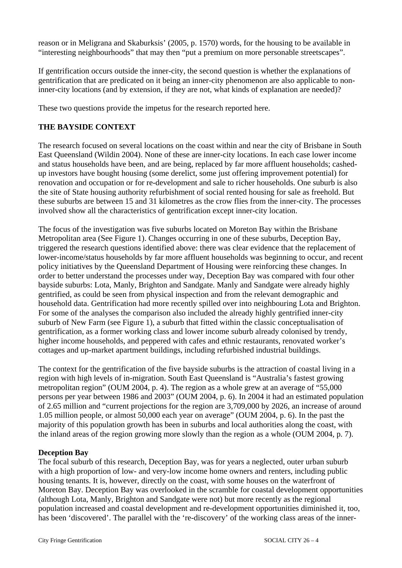reason or in Meligrana and Skaburksis' (2005, p. 1570) words, for the housing to be available in "interesting neighbourhoods" that may then "put a premium on more personable streetscapes".

If gentrification occurs outside the inner-city, the second question is whether the explanations of gentrification that are predicated on it being an inner-city phenomenon are also applicable to noninner-city locations (and by extension, if they are not, what kinds of explanation are needed)?

These two questions provide the impetus for the research reported here.

# **THE BAYSIDE CONTEXT**

The research focused on several locations on the coast within and near the city of Brisbane in South East Queensland (Wildin 2004). None of these are inner-city locations. In each case lower income and status households have been, and are being, replaced by far more affluent households; cashedup investors have bought housing (some derelict, some just offering improvement potential) for renovation and occupation or for re-development and sale to richer households. One suburb is also the site of State housing authority refurbishment of social rented housing for sale as freehold. But these suburbs are between 15 and 31 kilometres as the crow flies from the inner-city. The processes involved show all the characteristics of gentrification except inner-city location.

The focus of the investigation was five suburbs located on Moreton Bay within the Brisbane Metropolitan area (See Figure 1). Changes occurring in one of these suburbs, Deception Bay, triggered the research questions identified above: there was clear evidence that the replacement of lower-income/status households by far more affluent households was beginning to occur, and recent policy initiatives by the Queensland Department of Housing were reinforcing these changes. In order to better understand the processes under way, Deception Bay was compared with four other bayside suburbs: Lota, Manly, Brighton and Sandgate. Manly and Sandgate were already highly gentrified, as could be seen from physical inspection and from the relevant demographic and household data. Gentrification had more recently spilled over into neighbouring Lota and Brighton. For some of the analyses the comparison also included the already highly gentrified inner-city suburb of New Farm (see Figure 1), a suburb that fitted within the classic conceptualisation of gentrification, as a former working class and lower income suburb already colonised by trendy, higher income households, and peppered with cafes and ethnic restaurants, renovated worker's cottages and up-market apartment buildings, including refurbished industrial buildings.

The context for the gentrification of the five bayside suburbs is the attraction of coastal living in a region with high levels of in-migration. South East Queensland is "Australia's fastest growing metropolitan region" (OUM 2004, p. 4). The region as a whole grew at an average of "55,000 persons per year between 1986 and 2003" (OUM 2004, p. 6). In 2004 it had an estimated population of 2.65 million and "current projections for the region are 3,709,000 by 2026, an increase of around 1.05 million people, or almost 50,000 each year on average" (OUM 2004, p. 6). In the past the majority of this population growth has been in suburbs and local authorities along the coast, with the inland areas of the region growing more slowly than the region as a whole (OUM 2004, p. 7).

#### **Deception Bay**

The focal suburb of this research, Deception Bay, was for years a neglected, outer urban suburb with a high proportion of low- and very-low income home owners and renters, including public housing tenants. It is, however, directly on the coast, with some houses on the waterfront of Moreton Bay. Deception Bay was overlooked in the scramble for coastal development opportunities (although Lota, Manly, Brighton and Sandgate were not) but more recently as the regional population increased and coastal development and re-development opportunities diminished it, too, has been 'discovered'. The parallel with the 're-discovery' of the working class areas of the inner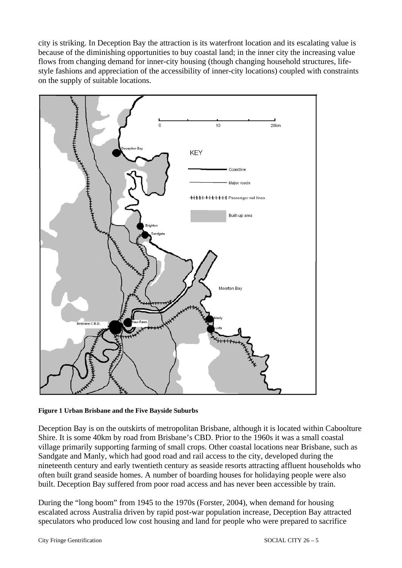city is striking. In Deception Bay the attraction is its waterfront location and its escalating value is because of the diminishing opportunities to buy coastal land; in the inner city the increasing value flows from changing demand for inner-city housing (though changing household structures, lifestyle fashions and appreciation of the accessibility of inner-city locations) coupled with constraints on the supply of suitable locations.



**Figure 1 Urban Brisbane and the Five Bayside Suburbs** 

Deception Bay is on the outskirts of metropolitan Brisbane, although it is located within Caboolture Shire. It is some 40km by road from Brisbane's CBD. Prior to the 1960s it was a small coastal village primarily supporting farming of small crops. Other coastal locations near Brisbane, such as Sandgate and Manly, which had good road and rail access to the city, developed during the nineteenth century and early twentieth century as seaside resorts attracting affluent households who often built grand seaside homes. A number of boarding houses for holidaying people were also built. Deception Bay suffered from poor road access and has never been accessible by train.

During the "long boom" from 1945 to the 1970s (Forster, 2004), when demand for housing escalated across Australia driven by rapid post-war population increase, Deception Bay attracted speculators who produced low cost housing and land for people who were prepared to sacrifice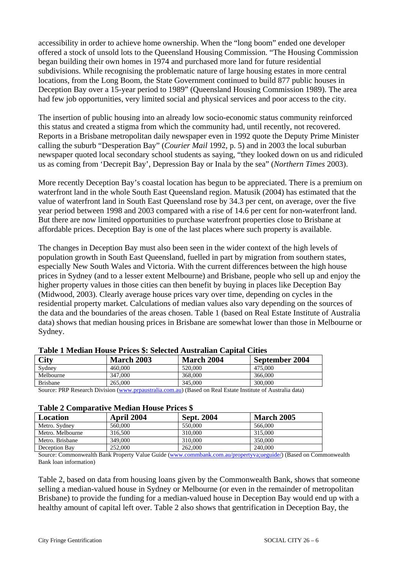accessibility in order to achieve home ownership. When the "long boom" ended one developer offered a stock of unsold lots to the Queensland Housing Commission. "The Housing Commission began building their own homes in 1974 and purchased more land for future residential subdivisions. While recognising the problematic nature of large housing estates in more central locations, from the Long Boom, the State Government continued to build 877 public houses in Deception Bay over a 15-year period to 1989" (Queensland Housing Commission 1989). The area had few job opportunities, very limited social and physical services and poor access to the city.

The insertion of public housing into an already low socio-economic status community reinforced this status and created a stigma from which the community had, until recently, not recovered. Reports in a Brisbane metropolitan daily newspaper even in 1992 quote the Deputy Prime Minister calling the suburb "Desperation Bay" (*Courier Mail* 1992, p. 5) and in 2003 the local suburban newspaper quoted local secondary school students as saying, "they looked down on us and ridiculed us as coming from 'Decrepit Bay', Depression Bay or Inala by the sea" (*Northern Times* 2003).

More recently Deception Bay's coastal location has begun to be appreciated. There is a premium on waterfront land in the whole South East Queensland region. Matusik (2004) has estimated that the value of waterfront land in South East Queensland rose by 34.3 per cent, on average, over the five year period between 1998 and 2003 compared with a rise of 14.6 per cent for non-waterfront land. But there are now limited opportunities to purchase waterfront properties close to Brisbane at affordable prices. Deception Bay is one of the last places where such property is available.

The changes in Deception Bay must also been seen in the wider context of the high levels of population growth in South East Queensland, fuelled in part by migration from southern states, especially New South Wales and Victoria. With the current differences between the high house prices in Sydney (and to a lesser extent Melbourne) and Brisbane, people who sell up and enjoy the higher property values in those cities can then benefit by buying in places like Deception Bay (Midwood, 2003). Clearly average house prices vary over time, depending on cycles in the residential property market. Calculations of median values also vary depending on the sources of the data and the boundaries of the areas chosen. Table 1 (based on Real Estate Institute of Australia data) shows that median housing prices in Brisbane are somewhat lower than those in Melbourne or Sydney.

| <b>City</b>     | <b>March 2003</b> | <b>March 2004</b> | September 2004 |
|-----------------|-------------------|-------------------|----------------|
| Sydney          | 460,000           | 520,000           | 475.000        |
| Melbourne       | 347,000           | 368,000           | 366,000        |
| <b>Brisbane</b> | 265,000           | 345,000           | 300,000        |

Source: PRP Research Division [\(www.prpaustralia.com.au\)](http://www.prpaustralia.com.au/) (Based on Real Estate Institute of Australia data)

#### **Table 2 Comparative Median House Prices \$**

| Location         | April 2004 | <b>Sept. 2004</b> | <b>March 2005</b> |  |  |
|------------------|------------|-------------------|-------------------|--|--|
| Metro. Sydney    | 560,000    | 550,000           | 566,000           |  |  |
| Metro. Melbourne | 316,500    | 310.000           | 315,000           |  |  |
| Metro, Brisbane  | 349,000    | 310,000           | 350,000           |  |  |
| Deception Bay    | 252,000    | 262,000           | 240,000           |  |  |

Source: Commonwealth Bank Property Value Guide ([www.commbank.com.au/propertyva;ueguide/\)](http://www.commbank.com.au/propertyva;ueguide/) (Based on Commonwealth Bank loan information)

Table 2, based on data from housing loans given by the Commonwealth Bank, shows that someone selling a median-valued house in Sydney or Melbourne (or even in the remainder of metropolitan Brisbane) to provide the funding for a median-valued house in Deception Bay would end up with a healthy amount of capital left over. Table 2 also shows that gentrification in Deception Bay, the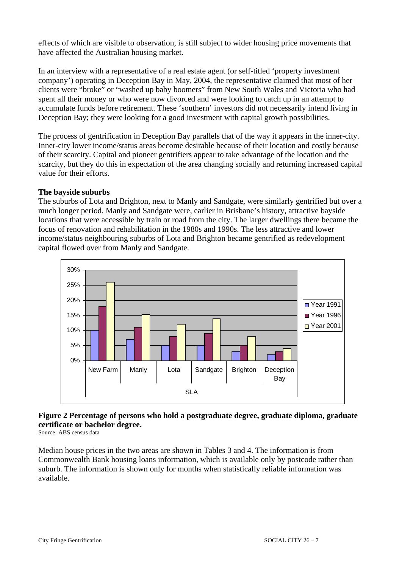effects of which are visible to observation, is still subject to wider housing price movements that have affected the Australian housing market.

In an interview with a representative of a real estate agent (or self-titled 'property investment company') operating in Deception Bay in May, 2004, the representative claimed that most of her clients were "broke" or "washed up baby boomers" from New South Wales and Victoria who had spent all their money or who were now divorced and were looking to catch up in an attempt to accumulate funds before retirement. These 'southern' investors did not necessarily intend living in Deception Bay; they were looking for a good investment with capital growth possibilities.

The process of gentrification in Deception Bay parallels that of the way it appears in the inner-city. Inner-city lower income/status areas become desirable because of their location and costly because of their scarcity. Capital and pioneer gentrifiers appear to take advantage of the location and the scarcity, but they do this in expectation of the area changing socially and returning increased capital value for their efforts.

#### **The bayside suburbs**

The suburbs of Lota and Brighton, next to Manly and Sandgate, were similarly gentrified but over a much longer period. Manly and Sandgate were, earlier in Brisbane's history, attractive bayside locations that were accessible by train or road from the city. The larger dwellings there became the focus of renovation and rehabilitation in the 1980s and 1990s. The less attractive and lower income/status neighbouring suburbs of Lota and Brighton became gentrified as redevelopment capital flowed over from Manly and Sandgate.



# **Figure 2 Percentage of persons who hold a postgraduate degree, graduate diploma, graduate certificate or bachelor degree.**

Source: ABS census data

Median house prices in the two areas are shown in Tables 3 and 4. The information is from Commonwealth Bank housing loans information, which is available only by postcode rather than suburb. The information is shown only for months when statistically reliable information was available.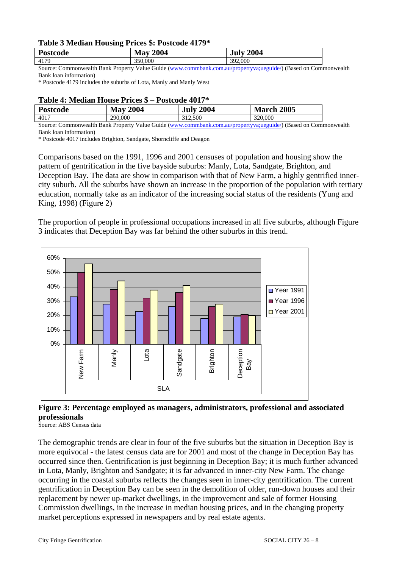#### **Table 3 Median Housing Prices \$: Postcode 4179\***

| Postcode                                   | 2004<br>$\bf M$ av | 2004<br>July                       |
|--------------------------------------------|--------------------|------------------------------------|
| 4179                                       | 350,000            | 392,000                            |
| $\sim$<br>1.1 <sub>h</sub><br>$\mathbf{r}$ | $\cdots$<br>T 7 1  | $\mathbf{1}$ $\wedge$ $\mathbf{1}$ |

Source: Commonwealth Bank Property Value Guide ([www.commbank.com.au/propertyva;ueguide/\)](http://www.commbank.com.au/propertyva;ueguide/) (Based on Commonwealth Bank loan information)

\* Postcode 4179 includes the suburbs of Lota, Manly and Manly West

#### **Table 4: Median House Prices \$ – Postcode 4017\***

| Postcode | 2004<br>Max <sup>7</sup> | <b>July 2004</b> | <b>March 2005</b> |  |  |
|----------|--------------------------|------------------|-------------------|--|--|
| 4017     | 290,000                  | 312,500          | 320,000           |  |  |

Source: Commonwealth Bank Property Value Guide ([www.commbank.com.au/propertyva;ueguide/\)](http://www.commbank.com.au/propertyva;ueguide/) (Based on Commonwealth Bank loan information)

\* Postcode 4017 includes Brighton, Sandgate, Shorncliffe and Deagon

Comparisons based on the 1991, 1996 and 2001 censuses of population and housing show the pattern of gentrification in the five bayside suburbs: Manly, Lota, Sandgate, Brighton, and Deception Bay. The data are show in comparison with that of New Farm, a highly gentrified innercity suburb. All the suburbs have shown an increase in the proportion of the population with tertiary education, normally take as an indicator of the increasing social status of the residents (Yung and King, 1998) (Figure 2)

The proportion of people in professional occupations increased in all five suburbs, although Figure 3 indicates that Deception Bay was far behind the other suburbs in this trend.



### **Figure 3: Percentage employed as managers, administrators, professional and associated professionals**

Source: ABS Census data

The demographic trends are clear in four of the five suburbs but the situation in Deception Bay is more equivocal - the latest census data are for 2001 and most of the change in Deception Bay has occurred since then. Gentrification is just beginning in Deception Bay; it is much further advanced in Lota, Manly, Brighton and Sandgate; it is far advanced in inner-city New Farm. The change occurring in the coastal suburbs reflects the changes seen in inner-city gentrification. The current gentrification in Deception Bay can be seen in the demolition of older, run-down houses and their replacement by newer up-market dwellings, in the improvement and sale of former Housing Commission dwellings, in the increase in median housing prices, and in the changing property market perceptions expressed in newspapers and by real estate agents.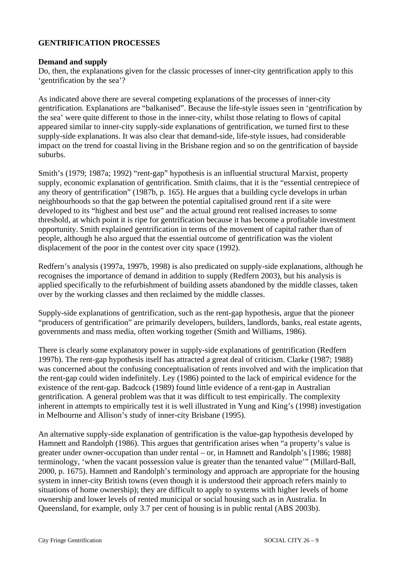#### **GENTRIFICATION PROCESSES**

#### **Demand and supply**

Do, then, the explanations given for the classic processes of inner-city gentrification apply to this 'gentrification by the sea'?

As indicated above there are several competing explanations of the processes of inner-city gentrification. Explanations are "balkanised". Because the life-style issues seen in 'gentrification by the sea' were quite different to those in the inner-city, whilst those relating to flows of capital appeared similar to inner-city supply-side explanations of gentrification, we turned first to these supply-side explanations. It was also clear that demand-side, life-style issues, had considerable impact on the trend for coastal living in the Brisbane region and so on the gentrification of bayside suburbs.

Smith's (1979; 1987a; 1992) "rent-gap" hypothesis is an influential structural Marxist, property supply, economic explanation of gentrification. Smith claims, that it is the "essential centrepiece of any theory of gentrification" (1987b, p. 165). He argues that a building cycle develops in urban neighbourhoods so that the gap between the potential capitalised ground rent if a site were developed to its "highest and best use" and the actual ground rent realised increases to some threshold, at which point it is ripe for gentrification because it has become a profitable investment opportunity. Smith explained gentrification in terms of the movement of capital rather than of people, although he also argued that the essential outcome of gentrification was the violent displacement of the poor in the contest over city space (1992).

Redfern's analysis (1997a, 1997b, 1998) is also predicated on supply-side explanations, although he recognises the importance of demand in addition to supply (Redfern 2003), but his analysis is applied specifically to the refurbishment of building assets abandoned by the middle classes, taken over by the working classes and then reclaimed by the middle classes.

Supply-side explanations of gentrification, such as the rent-gap hypothesis, argue that the pioneer "producers of gentrification" are primarily developers, builders, landlords, banks, real estate agents, governments and mass media, often working together (Smith and Williams, 1986).

There is clearly some explanatory power in supply-side explanations of gentrification (Redfern 1997b). The rent-gap hypothesis itself has attracted a great deal of criticism. Clarke (1987; 1988) was concerned about the confusing conceptualisation of rents involved and with the implication that the rent-gap could widen indefinitely. Ley (1986) pointed to the lack of empirical evidence for the existence of the rent-gap. Badcock (1989) found little evidence of a rent-gap in Australian gentrification. A general problem was that it was difficult to test empirically. The complexity inherent in attempts to empirically test it is well illustrated in Yung and King's (1998) investigation in Melbourne and Allison's study of inner-city Brisbane (1995).

An alternative supply-side explanation of gentrification is the value-gap hypothesis developed by Hamnett and Randolph (1986). This argues that gentrification arises when "a property's value is greater under owner-occupation than under rental – or, in Hamnett and Randolph's [1986; 1988] terminology, 'when the vacant possession value is greater than the tenanted value'" (Millard-Ball, 2000, p. 1675). Hamnett and Randolph's terminology and approach are appropriate for the housing system in inner-city British towns (even though it is understood their approach refers mainly to situations of home ownership); they are difficult to apply to systems with higher levels of home ownership and lower levels of rented municipal or social housing such as in Australia. In Queensland, for example, only 3.7 per cent of housing is in public rental (ABS 2003b).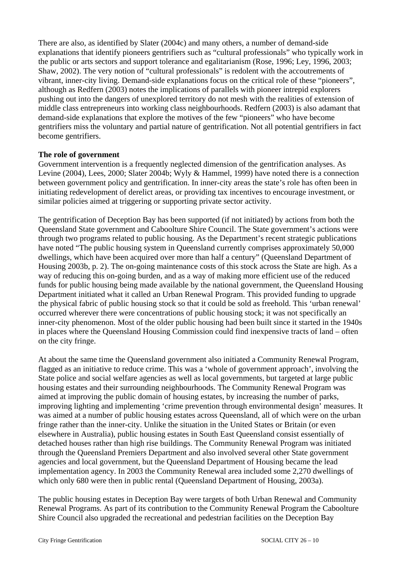There are also, as identified by Slater (2004c) and many others, a number of demand-side explanations that identify pioneers gentrifiers such as "cultural professionals" who typically work in the public or arts sectors and support tolerance and egalitarianism (Rose, 1996; Ley, 1996, 2003; Shaw, 2002). The very notion of "cultural professionals" is redolent with the accoutrements of vibrant, inner-city living. Demand-side explanations focus on the critical role of these "pioneers", although as Redfern (2003) notes the implications of parallels with pioneer intrepid explorers pushing out into the dangers of unexplored territory do not mesh with the realities of extension of middle class entrepreneurs into working class neighbourhoods. Redfern (2003) is also adamant that demand-side explanations that explore the motives of the few "pioneers" who have become gentrifiers miss the voluntary and partial nature of gentrification. Not all potential gentrifiers in fact become gentrifiers.

#### **The role of government**

Government intervention is a frequently neglected dimension of the gentrification analyses. As Levine (2004), Lees, 2000; Slater 2004b; Wyly & Hammel, 1999) have noted there is a connection between government policy and gentrification. In inner-city areas the state's role has often been in initiating redevelopment of derelict areas, or providing tax incentives to encourage investment, or similar policies aimed at triggering or supporting private sector activity.

The gentrification of Deception Bay has been supported (if not initiated) by actions from both the Queensland State government and Caboolture Shire Council. The State government's actions were through two programs related to public housing. As the Department's recent strategic publications have noted "The public housing system in Queensland currently comprises approximately 50,000 dwellings, which have been acquired over more than half a century" (Queensland Department of Housing 2003b, p. 2). The on-going maintenance costs of this stock across the State are high. As a way of reducing this on-going burden, and as a way of making more efficient use of the reduced funds for public housing being made available by the national government, the Queensland Housing Department initiated what it called an Urban Renewal Program. This provided funding to upgrade the physical fabric of public housing stock so that it could be sold as freehold. This 'urban renewal' occurred wherever there were concentrations of public housing stock; it was not specifically an inner-city phenomenon. Most of the older public housing had been built since it started in the 1940s in places where the Queensland Housing Commission could find inexpensive tracts of land – often on the city fringe.

At about the same time the Queensland government also initiated a Community Renewal Program, flagged as an initiative to reduce crime. This was a 'whole of government approach', involving the State police and social welfare agencies as well as local governments, but targeted at large public housing estates and their surrounding neighbourhoods. The Community Renewal Program was aimed at improving the public domain of housing estates, by increasing the number of parks, improving lighting and implementing 'crime prevention through environmental design' measures. It was aimed at a number of public housing estates across Queensland, all of which were on the urban fringe rather than the inner-city. Unlike the situation in the United States or Britain (or even elsewhere in Australia), public housing estates in South East Queensland consist essentially of detached houses rather than high rise buildings. The Community Renewal Program was initiated through the Queensland Premiers Department and also involved several other State government agencies and local government, but the Queensland Department of Housing became the lead implementation agency. In 2003 the Community Renewal area included some 2,270 dwellings of which only 680 were then in public rental (Queensland Department of Housing, 2003a).

The public housing estates in Deception Bay were targets of both Urban Renewal and Community Renewal Programs. As part of its contribution to the Community Renewal Program the Caboolture Shire Council also upgraded the recreational and pedestrian facilities on the Deception Bay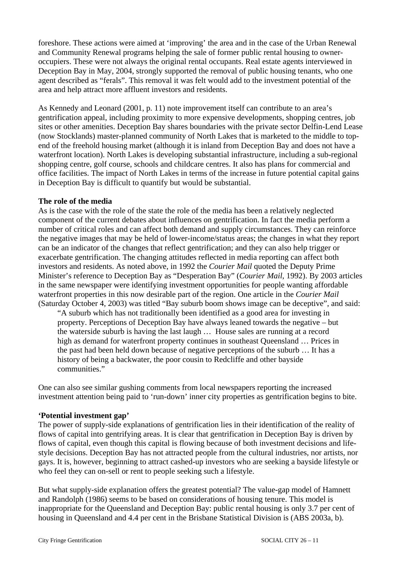foreshore. These actions were aimed at 'improving' the area and in the case of the Urban Renewal and Community Renewal programs helping the sale of former public rental housing to owneroccupiers. These were not always the original rental occupants. Real estate agents interviewed in Deception Bay in May, 2004, strongly supported the removal of public housing tenants, who one agent described as "ferals". This removal it was felt would add to the investment potential of the area and help attract more affluent investors and residents.

As Kennedy and Leonard (2001, p. 11) note improvement itself can contribute to an area's gentrification appeal, including proximity to more expensive developments, shopping centres, job sites or other amenities. Deception Bay shares boundaries with the private sector Delfin-Lend Lease (now Stocklands) master-planned community of North Lakes that is marketed to the middle to topend of the freehold housing market (although it is inland from Deception Bay and does not have a waterfront location). North Lakes is developing substantial infrastructure, including a sub-regional shopping centre, golf course, schools and childcare centres. It also has plans for commercial and office facilities. The impact of North Lakes in terms of the increase in future potential capital gains in Deception Bay is difficult to quantify but would be substantial.

#### **The role of the media**

As is the case with the role of the state the role of the media has been a relatively neglected component of the current debates about influences on gentrification. In fact the media perform a number of critical roles and can affect both demand and supply circumstances. They can reinforce the negative images that may be held of lower-income/status areas; the changes in what they report can be an indicator of the changes that reflect gentrification; and they can also help trigger or exacerbate gentrification. The changing attitudes reflected in media reporting can affect both investors and residents. As noted above, in 1992 the *Courier Mail* quoted the Deputy Prime Minister's reference to Deception Bay as "Desperation Bay" (*Courier Mail*, 1992). By 2003 articles in the same newspaper were identifying investment opportunities for people wanting affordable waterfront properties in this now desirable part of the region. One article in the *Courier Mail* (Saturday October 4, 2003) was titled "Bay suburb boom shows image can be deceptive", and said:

"A suburb which has not traditionally been identified as a good area for investing in property. Perceptions of Deception Bay have always leaned towards the negative – but the waterside suburb is having the last laugh … House sales are running at a record high as demand for waterfront property continues in southeast Queensland … Prices in the past had been held down because of negative perceptions of the suburb … It has a history of being a backwater, the poor cousin to Redcliffe and other bayside communities."

One can also see similar gushing comments from local newspapers reporting the increased investment attention being paid to 'run-down' inner city properties as gentrification begins to bite.

# **'Potential investment gap'**

The power of supply-side explanations of gentrification lies in their identification of the reality of flows of capital into gentrifying areas. It is clear that gentrification in Deception Bay is driven by flows of capital, even though this capital is flowing because of both investment decisions and lifestyle decisions. Deception Bay has not attracted people from the cultural industries, nor artists, nor gays. It is, however, beginning to attract cashed-up investors who are seeking a bayside lifestyle or who feel they can on-sell or rent to people seeking such a lifestyle.

But what supply-side explanation offers the greatest potential? The value-gap model of Hamnett and Randolph (1986) seems to be based on considerations of housing tenure. This model is inappropriate for the Queensland and Deception Bay: public rental housing is only 3.7 per cent of housing in Queensland and 4.4 per cent in the Brisbane Statistical Division is (ABS 2003a, b).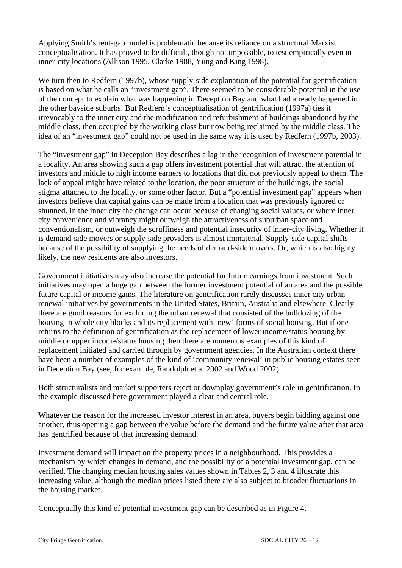Applying Smith's rent-gap model is problematic because its reliance on a structural Marxist conceptualisation. It has proved to be difficult, though not impossible, to test empirically even in inner-city locations (Allison 1995, Clarke 1988, Yung and King 1998).

We turn then to Redfern (1997b), whose supply-side explanation of the potential for gentrification is based on what he calls an "investment gap". There seemed to be considerable potential in the use of the concept to explain what was happening in Deception Bay and what had already happened in the other bayside suburbs. But Redfern's conceptualisation of gentrification (1997a) ties it irrevocably to the inner city and the modification and refurbishment of buildings abandoned by the middle class, then occupied by the working class but now being reclaimed by the middle class. The idea of an "investment gap" could not be used in the same way it is used by Redfern (1997b, 2003).

The "investment gap" in Deception Bay describes a lag in the recognition of investment potential in a locality. An area showing such a gap offers investment potential that will attract the attention of investors and middle to high income earners to locations that did not previously appeal to them. The lack of appeal might have related to the location, the poor structure of the buildings, the social stigma attached to the locality, or some other factor. But a "potential investment gap" appears when investors believe that capital gains can be made from a location that was previously ignored or shunned. In the inner city the change can occur because of changing social values, or where inner city convenience and vibrancy might outweigh the attractiveness of suburban space and conventionalism, or outweigh the scruffiness and potential insecurity of inner-city living. Whether it is demand-side movers or supply-side providers is almost immaterial. Supply-side capital shifts because of the possibility of supplying the needs of demand-side movers. Or, which is also highly likely, the new residents are also investors.

Government initiatives may also increase the potential for future earnings from investment. Such initiatives may open a huge gap between the former investment potential of an area and the possible future capital or income gains. The literature on gentrification rarely discusses inner city urban renewal initiatives by governments in the United States, Britain, Australia and elsewhere. Clearly there are good reasons for excluding the urban renewal that consisted of the bulldozing of the housing in whole city blocks and its replacement with 'new' forms of social housing. But if one returns to the definition of gentrification as the replacement of lower income/status housing by middle or upper income/status housing then there are numerous examples of this kind of replacement initiated and carried through by government agencies. In the Australian context there have been a number of examples of the kind of 'community renewal' in public housing estates seen in Deception Bay (see, for example, Randolph et al 2002 and Wood 2002)

Both structuralists and market supporters reject or downplay government's role in gentrification. In the example discussed here government played a clear and central role.

Whatever the reason for the increased investor interest in an area, buyers begin bidding against one another, thus opening a gap between the value before the demand and the future value after that area has gentrified because of that increasing demand.

Investment demand will impact on the property prices in a neighbourhood. This provides a mechanism by which changes in demand, and the possibility of a potential investment gap, can be verified. The changing median housing sales values shown in Tables 2, 3 and 4 illustrate this increasing value, although the median prices listed there are also subject to broader fluctuations in the housing market.

Conceptually this kind of potential investment gap can be described as in Figure 4.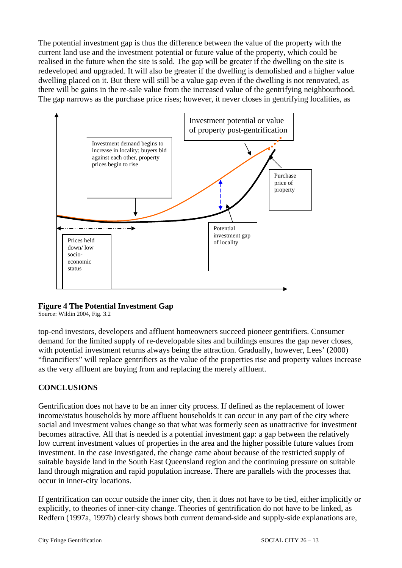The potential investment gap is thus the difference between the value of the property with the current land use and the investment potential or future value of the property, which could be realised in the future when the site is sold. The gap will be greater if the dwelling on the site is redeveloped and upgraded. It will also be greater if the dwelling is demolished and a higher value dwelling placed on it. But there will still be a value gap even if the dwelling is not renovated, as there will be gains in the re-sale value from the increased value of the gentrifying neighbourhood. The gap narrows as the purchase price rises; however, it never closes in gentrifying localities, as



# **Figure 4 The Potential Investment Gap**

Source: Wildin 2004, Fig. 3.2

top-end investors, developers and affluent homeowners succeed pioneer gentrifiers. Consumer demand for the limited supply of re-developable sites and buildings ensures the gap never closes, with potential investment returns always being the attraction. Gradually, however, Lees' (2000) "financifiers" will replace gentrifiers as the value of the properties rise and property values increase as the very affluent are buying from and replacing the merely affluent.

# **CONCLUSIONS**

Gentrification does not have to be an inner city process. If defined as the replacement of lower income/status households by more affluent households it can occur in any part of the city where social and investment values change so that what was formerly seen as unattractive for investment becomes attractive. All that is needed is a potential investment gap: a gap between the relatively low current investment values of properties in the area and the higher possible future values from investment. In the case investigated, the change came about because of the restricted supply of suitable bayside land in the South East Queensland region and the continuing pressure on suitable land through migration and rapid population increase. There are parallels with the processes that occur in inner-city locations.

If gentrification can occur outside the inner city, then it does not have to be tied, either implicitly or explicitly, to theories of inner-city change. Theories of gentrification do not have to be linked, as Redfern (1997a, 1997b) clearly shows both current demand-side and supply-side explanations are,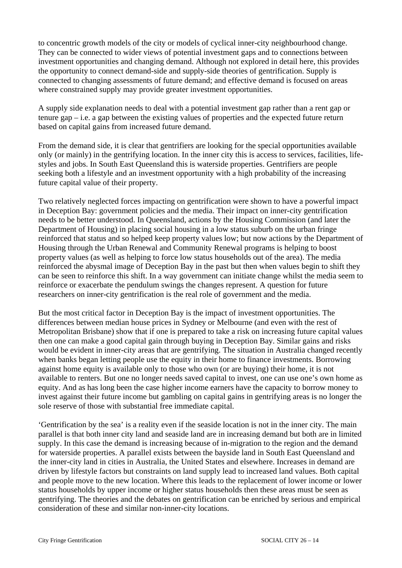to concentric growth models of the city or models of cyclical inner-city neighbourhood change. They can be connected to wider views of potential investment gaps and to connections between investment opportunities and changing demand. Although not explored in detail here, this provides the opportunity to connect demand-side and supply-side theories of gentrification. Supply is connected to changing assessments of future demand; and effective demand is focused on areas where constrained supply may provide greater investment opportunities.

A supply side explanation needs to deal with a potential investment gap rather than a rent gap or tenure gap – i.e. a gap between the existing values of properties and the expected future return based on capital gains from increased future demand.

From the demand side, it is clear that gentrifiers are looking for the special opportunities available only (or mainly) in the gentrifying location. In the inner city this is access to services, facilities, lifestyles and jobs. In South East Queensland this is waterside properties. Gentrifiers are people seeking both a lifestyle and an investment opportunity with a high probability of the increasing future capital value of their property.

Two relatively neglected forces impacting on gentrification were shown to have a powerful impact in Deception Bay: government policies and the media. Their impact on inner-city gentrification needs to be better understood. In Queensland, actions by the Housing Commission (and later the Department of Housing) in placing social housing in a low status suburb on the urban fringe reinforced that status and so helped keep property values low; but now actions by the Department of Housing through the Urban Renewal and Community Renewal programs is helping to boost property values (as well as helping to force low status households out of the area). The media reinforced the abysmal image of Deception Bay in the past but then when values begin to shift they can be seen to reinforce this shift. In a way government can initiate change whilst the media seem to reinforce or exacerbate the pendulum swings the changes represent. A question for future researchers on inner-city gentrification is the real role of government and the media.

But the most critical factor in Deception Bay is the impact of investment opportunities. The differences between median house prices in Sydney or Melbourne (and even with the rest of Metropolitan Brisbane) show that if one is prepared to take a risk on increasing future capital values then one can make a good capital gain through buying in Deception Bay. Similar gains and risks would be evident in inner-city areas that are gentrifying. The situation in Australia changed recently when banks began letting people use the equity in their home to finance investments. Borrowing against home equity is available only to those who own (or are buying) their home, it is not available to renters. But one no longer needs saved capital to invest, one can use one's own home as equity. And as has long been the case higher income earners have the capacity to borrow money to invest against their future income but gambling on capital gains in gentrifying areas is no longer the sole reserve of those with substantial free immediate capital.

'Gentrification by the sea' is a reality even if the seaside location is not in the inner city. The main parallel is that both inner city land and seaside land are in increasing demand but both are in limited supply. In this case the demand is increasing because of in-migration to the region and the demand for waterside properties. A parallel exists between the bayside land in South East Queensland and the inner-city land in cities in Australia, the United States and elsewhere. Increases in demand are driven by lifestyle factors but constraints on land supply lead to increased land values. Both capital and people move to the new location. Where this leads to the replacement of lower income or lower status households by upper income or higher status households then these areas must be seen as gentrifying. The theories and the debates on gentrification can be enriched by serious and empirical consideration of these and similar non-inner-city locations.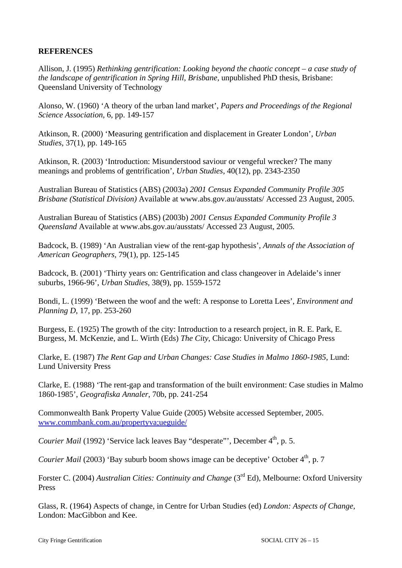#### **REFERENCES**

Allison, J. (1995) *Rethinking gentrification: Looking beyond the chaotic concept – a case study of the landscape of gentrification in Spring Hill, Brisbane,* unpublished PhD thesis, Brisbane: Queensland University of Technology

Alonso, W. (1960) 'A theory of the urban land market', *Papers and Proceedings of the Regional Science Association,* 6, pp. 149-157

Atkinson, R. (2000) 'Measuring gentrification and displacement in Greater London', *Urban Studies*, 37(1), pp. 149-165

Atkinson, R. (2003) 'Introduction: Misunderstood saviour or vengeful wrecker? The many meanings and problems of gentrification', *Urban Studies*, 40(12), pp. 2343-2350

Australian Bureau of Statistics (ABS) (2003a) *2001 Census Expanded Community Profile 305 Brisbane (Statistical Division)* Available at www.abs.gov.au/ausstats/ Accessed 23 August, 2005.

Australian Bureau of Statistics (ABS) (2003b) *2001 Census Expanded Community Profile 3 Queensland* Available at www.abs.gov.au/ausstats/ Accessed 23 August, 2005.

Badcock, B. (1989) 'An Australian view of the rent-gap hypothesis', *Annals of the Association of American Geographers,* 79(1), pp. 125-145

Badcock, B. (2001) 'Thirty years on: Gentrification and class changeover in Adelaide's inner suburbs, 1966-96', *Urban Studies,* 38(9), pp. 1559-1572

Bondi, L. (1999) 'Between the woof and the weft: A response to Loretta Lees', *Environment and Planning D*, 17, pp. 253-260

Burgess, E. (1925) The growth of the city: Introduction to a research project, in R. E. Park, E. Burgess, M. McKenzie, and L. Wirth (Eds) *The City*, Chicago: University of Chicago Press

Clarke, E. (1987) *The Rent Gap and Urban Changes: Case Studies in Malmo 1860-1985*, Lund: Lund University Press

Clarke, E. (1988) 'The rent-gap and transformation of the built environment: Case studies in Malmo 1860-1985', *Geografiska Annaler*, 70b, pp. 241-254

Commonwealth Bank Property Value Guide (2005) Website accessed September, 2005. [www.commbank.com.au/propertyva;ueguide/](http://www.commbank.com.au/propertyva;ueguide/) 

*Courier Mail* (1992) 'Service lack leaves Bay "desperate"', December 4<sup>th</sup>, p. 5.

*Courier Mail* (2003) 'Bay suburb boom shows image can be deceptive' October 4<sup>th</sup>, p. 7

Forster C. (2004) *Australian Cities: Continuity and Change* (3<sup>rd</sup> Ed), Melbourne: Oxford University Press

Glass, R. (1964) Aspects of change, in Centre for Urban Studies (ed) *London: Aspects of Change*, London: MacGibbon and Kee.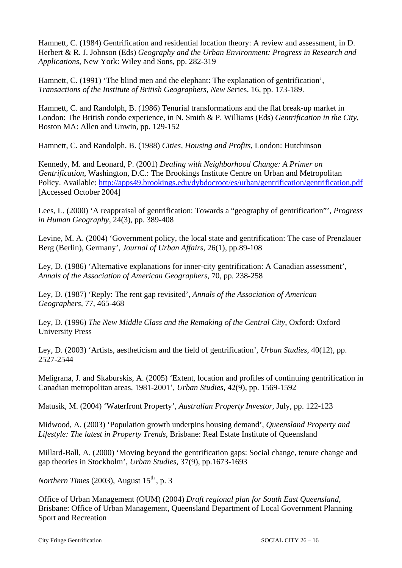Hamnett, C. (1984) Gentrification and residential location theory: A review and assessment, in D. Herbert & R. J. Johnson (Eds) *Geography and the Urban Environment: Progress in Research and Applications,* New York: Wiley and Sons, pp. 282-319

Hamnett, C. (1991) 'The blind men and the elephant: The explanation of gentrification', *Transactions of the Institute of British Geographers, New Ser*ies, 16, pp. 173-189.

Hamnett, C. and Randolph, B. (1986) Tenurial transformations and the flat break-up market in London: The British condo experience, in N. Smith & P. Williams (Eds) *Gentrification in the City,* Boston MA: Allen and Unwin, pp. 129-152

Hamnett, C. and Randolph, B. (1988) *Cities, Housing and Profits*, London: Hutchinson

Kennedy, M. and Leonard, P. (2001) *Dealing with Neighborhood Change: A Primer on Gentrification,* Washington, D.C.: The Brookings Institute Centre on Urban and Metropolitan Policy. Available:<http://apps49.brookings.edu/dybdocroot/es/urban/gentrification/gentrification.pdf> [Accessed October 2004]

Lees, L. (2000) 'A reappraisal of gentrification: Towards a "geography of gentrification"', *Progress in Human Geography*, 24(3), pp. 389-408

Levine, M. A. (2004) 'Government policy, the local state and gentrification: The case of Prenzlauer Berg (Berlin), Germany', *Journal of Urban Affairs*, 26(1), pp.89-108

Ley, D. (1986) 'Alternative explanations for inner-city gentrification: A Canadian assessment', *Annals of the Association of American Geographers*, 70, pp. 238-258

Ley, D. (1987) 'Reply: The rent gap revisited', *Annals of the Association of American Geographers,* 77, 465-468

Ley, D. (1996) *The New Middle Class and the Remaking of the Central City*, Oxford: Oxford University Press

Ley, D. (2003) 'Artists, aestheticism and the field of gentrification', *Urban Studies*, 40(12), pp. 2527-2544

Meligrana, J. and Skaburskis, A. (2005) 'Extent, location and profiles of continuing gentrification in Canadian metropolitan areas, 1981-2001', *Urban Studies,* 42(9), pp. 1569-1592

Matusik, M. (2004) 'Waterfront Property', *Australian Property Investor*, July, pp. 122-123

Midwood, A. (2003) 'Population growth underpins housing demand', *Queensland Property and Lifestyle: The latest in Property Trends,* Brisbane: Real Estate Institute of Queensland

Millard-Ball, A. (2000) 'Moving beyond the gentrification gaps: Social change, tenure change and gap theories in Stockholm', *Urban Studies*, 37(9), pp.1673-1693

*Northern Times* (2003), August  $15<sup>th</sup>$ , p. 3

Office of Urban Management (OUM) (2004) *Draft regional plan for South East Queensland,* Brisbane: Office of Urban Management, Queensland Department of Local Government Planning Sport and Recreation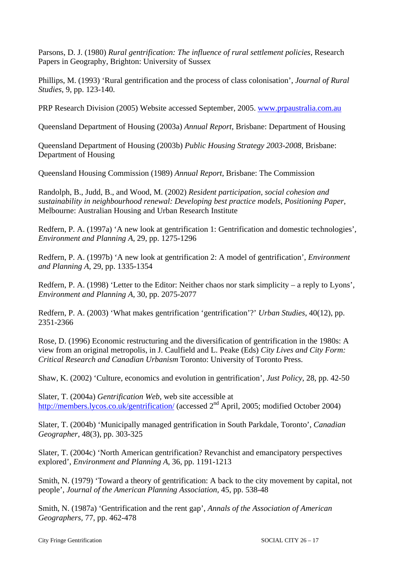Parsons, D. J. (1980) *Rural gentrification: The influence of rural settlement policies*, *Research* Papers in Geography, Brighton: University of Sussex

Phillips, M. (1993) 'Rural gentrification and the process of class colonisation', *Journal of Rural Studies*, 9, pp. 123-140.

PRP Research Division (2005) Website accessed September, 2005. [www.prpaustralia.com.au](http://www.prpaustralia.com.au/)

Queensland Department of Housing (2003a) *Annual Report*, Brisbane: Department of Housing

Queensland Department of Housing (2003b) *Public Housing Strategy 2003-2008*, Brisbane: Department of Housing

Queensland Housing Commission (1989) *Annual Report*, Brisbane: The Commission

Randolph, B., Judd, B., and Wood, M. (2002) *Resident participation, social cohesion and sustainability in neighbourhood renewal: Developing best practice models, Positioning Paper,* Melbourne: Australian Housing and Urban Research Institute

Redfern, P. A. (1997a) 'A new look at gentrification 1: Gentrification and domestic technologies', *Environment and Planning A*, 29, pp. 1275-1296

Redfern, P. A. (1997b) 'A new look at gentrification 2: A model of gentrification', *Environment and Planning A*, 29, pp. 1335-1354

Redfern, P. A. (1998) 'Letter to the Editor: Neither chaos nor stark simplicity – a reply to Lyons', *Environment and Planning A*, 30, pp. 2075-2077

Redfern, P. A. (2003) 'What makes gentrification 'gentrification'?' *Urban Studies*, 40(12), pp. 2351-2366

Rose, D. (1996) Economic restructuring and the diversification of gentrification in the 1980s: A view from an original metropolis, in J. Caulfield and L. Peake (Eds) *City Lives and City Form: Critical Research and Canadian Urbanism* Toronto: University of Toronto Press.

Shaw, K. (2002) 'Culture, economics and evolution in gentrification', *Just Policy*, 28, pp. 42-50

Slater, T. (2004a) *Gentrification Web*, web site accessible at <http://members.lycos.co.uk/gentrification/> (accessed 2<sup>nd</sup> April, 2005; modified October 2004)

Slater, T. (2004b) 'Municipally managed gentrification in South Parkdale, Toronto', *Canadian Geographer*, 48(3), pp. 303-325

Slater, T. (2004c) 'North American gentrification? Revanchist and emancipatory perspectives explored', *Environment and Planning A*, 36, pp. 1191-1213

Smith, N. (1979) 'Toward a theory of gentrification: A back to the city movement by capital, not people', *Journal of the American Planning Association*, 45, pp. 538-48

Smith, N. (1987a) 'Gentrification and the rent gap', *Annals of the Association of American Geographers,* 77, pp. 462-478